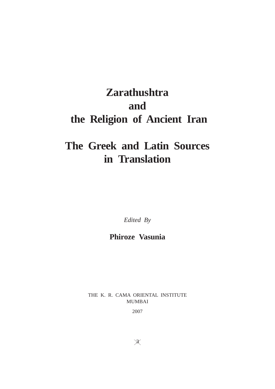# **Zarathushtra and the Religion of Ancient Iran**

# **The Greek and Latin Sources in Translation**

*Edited By*

# **Phiroze Vasunia**

THE K. R. CAMA ORIENTAL INSTITUTE MUMBAI

2007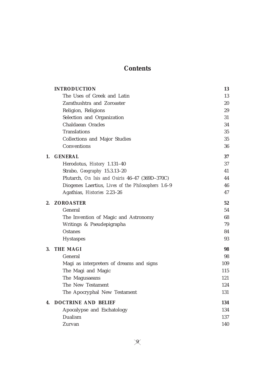# **Contents**

|    | <b>INTRODUCTION</b>                                | 13  |
|----|----------------------------------------------------|-----|
|    | The Uses of Greek and Latin                        | 13  |
|    | Zarathushtra and Zoroaster                         | 20  |
|    | Religion, Religions                                | 29  |
|    | Selection and Organization                         | 31  |
|    | Chaldaean Oracles                                  | 34  |
|    | <b>Translations</b>                                | 35  |
|    | Collections and Major Studies                      | 35  |
|    | Conventions                                        | 36  |
| 1. | <b>GENERAL</b>                                     | 37  |
|    | Herodotus, History 1.131-40                        | 37  |
|    | Strabo, Geography 15.3.13-20                       | 41  |
|    | Plutarch, On Isis and Osiris 46-47 (369D-370C)     | 44  |
|    | Diogenes Laertius, Lives of the Philosophers 1.6-9 | 46  |
|    | Agathias, Histories 2.23-26                        | 47  |
| 2. | <b>ZOROASTER</b>                                   | 52  |
|    | General                                            | 54  |
|    | The Invention of Magic and Astronomy               | 68  |
|    | Writings & Pseudepigrapha                          | 79  |
|    | <b>Ostanes</b>                                     | 84  |
|    | <b>Hystaspes</b>                                   | 93  |
| 3. | <b>THE MAGI</b>                                    | 98  |
|    | General                                            | 98  |
|    | Magi as interpreters of dreams and signs           | 109 |
|    | The Magi and Magic                                 | 115 |
|    | The Magusaeans                                     | 121 |
|    | The New Testament                                  | 124 |
|    | The Apocryphal New Testament                       | 131 |
| 4. | <b>DOCTRINE AND BELIEF</b>                         | 134 |
|    | Apocalypse and Eschatology                         | 134 |
|    | Dualism                                            | 137 |
|    | Zurvan                                             | 140 |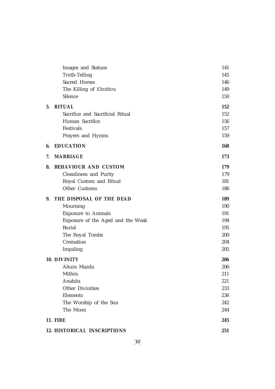|    | <b>Images and Statues</b>          | 141 |
|----|------------------------------------|-----|
|    | <b>Truth-Telling</b>               | 145 |
|    | Sacred Horses                      | 146 |
|    | The Killing of Khrafstra           | 149 |
|    | Silence                            | 150 |
| 5. | <b>RITUAL</b>                      | 152 |
|    | Sacrifice and Sacrificial Ritual   | 152 |
|    | Human Sacrifice                    | 156 |
|    | Festivals                          | 157 |
|    | Prayers and Hymns                  | 159 |
| 6. | <b>EDUCATION</b>                   | 168 |
| 7. | <b>MARRIAGE</b>                    | 173 |
| 8. | <b>BEHAVIOUR AND CUSTOM</b>        | 179 |
|    | <b>Cleanliness and Purity</b>      | 179 |
|    | Royal Custom and Ritual            | 181 |
|    | Other Customs                      | 186 |
| 9. | THE DISPOSAL OF THE DEAD           | 189 |
|    | Mourning                           | 190 |
|    | <b>Exposure to Animals</b>         | 191 |
|    | Exposure of the Aged and the Weak  | 194 |
|    | <b>Burial</b>                      | 195 |
|    | The Royal Tombs                    | 200 |
|    | Cremation                          | 204 |
|    | Impaling                           | 205 |
|    | 10. DIVINITY                       | 206 |
|    | Ahura Mazda                        | 206 |
|    | Mithra                             | 211 |
|    | Anahita                            | 221 |
|    | <b>Other Divinities</b>            | 233 |
|    | Elements                           | 236 |
|    | The Worship of the Sun             | 242 |
|    | The Moon                           | 244 |
|    | <b>11. FIRE</b>                    | 245 |
|    | <b>12. HISTORICAL INSCRIPTIONS</b> | 251 |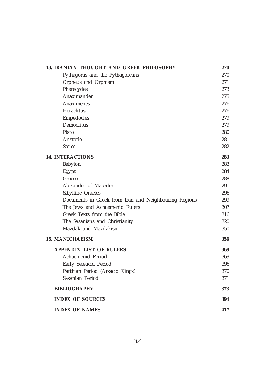| 13. IRANIAN THOUGHT AND GREEK PHILOSOPHY              | 270 |
|-------------------------------------------------------|-----|
| Pythagoras and the Pythagoreans                       | 270 |
| Orpheus and Orphism                                   | 271 |
| Pherecydes                                            | 273 |
| Anaximander                                           | 275 |
| <b>Anaximenes</b>                                     | 276 |
| Heraclitus                                            | 276 |
| Empedocles                                            | 279 |
| Democritus                                            | 279 |
| Plato                                                 | 280 |
| Aristotle                                             | 281 |
| <b>Stoics</b>                                         | 282 |
| <b>14. INTERACTIONS</b>                               | 283 |
| Babylon                                               | 283 |
| Egypt                                                 | 284 |
| Greece                                                | 288 |
| Alexander of Macedon                                  | 291 |
| Sibylline Oracles                                     | 296 |
| Documents in Greek from Iran and Neighbouring Regions | 299 |
| The Jews and Achaemenid Rulers                        | 307 |
| Greek Texts from the Bible                            | 316 |
| The Sasanians and Christianity                        | 320 |
| Mazdak and Mazdakism                                  | 350 |
| <b>15. MANICHAEISM</b>                                |     |
| <b>APPENDIX: LIST OF RULERS</b>                       | 369 |
| Achaemenid Period                                     | 369 |
| Early Seleucid Period                                 | 396 |
| Parthian Period (Arsacid Kings)                       | 370 |
| Sasanian Period                                       | 371 |
| <b>BIBLIOGRAPHY</b>                                   | 373 |
| <b>INDEX OF SOURCES</b>                               | 394 |
| <b>INDEX OF NAMES</b>                                 | 417 |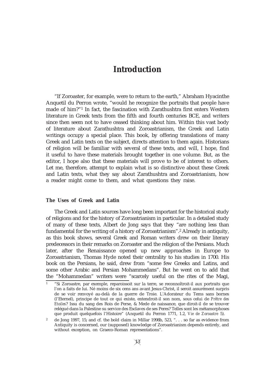"If Zoroaster, for example, were to return to the earth," Abraham Hyacinthe Anquetil du Perron wrote, "would he recognize the portraits that people have made of him?"1 In fact, the fascination with Zarathushtra first enters Western literature in Greek texts from the fifth and fourth centuries BCE, and writers since then seem not to have ceased thinking about him. Within this vast body of literature about Zarathushtra and Zoroastrianism, the Greek and Latin writings occupy a special place. This book, by offering translations of many Greek and Latin texts on the subject, directs attention to them again. Historians of religion will be familiar with several of these texts, and will, I hope, find it useful to have these materials brought together in one volume. But, as the editor, I hope also that these materials will prove to be of interest to others. Let me, therefore, attempt to explain what is so distinctive about these Greek and Latin texts, what they say about Zarathushtra and Zoroastrianism, how a reader might come to them, and what questions they raise.

# **The Uses of Greek and Latin**

The Greek and Latin sources have long been important for the historical study of religions and for the history of Zoroastrianism in particular. In a detailed study of many of these texts, Albert de Jong says that they "are nothing less than fundamental for the writing of a history of Zoroastrianism".2 Already in antiquity, as this book shows, several Greek and Roman writers drew on their literary predecessors in their remarks on Zoroaster and the religion of the Persians. Much later, after the Renaissance opened up new approaches in Europe to Zoroastrianism, Thomas Hyde noted their centrality to his studies in 1700. His book on the Persians, he said, drew from "some few Greeks and Latins, and some other Arabic and Persian Mohammedans". But he went on to add that the "Mohammedan" writers were "scarcely useful on the rites of the Magi,

<sup>1</sup> "Si Zoroastre, par exemple, reparoissoit sur la terre, se reconnoîtroit-il aux portraits que l'on a faits de lui. Né moins de six cens ans avant Jesus-Christ, il seroit assurément surpris de se voir renvoyé au-delà de la guerre de Troie. L'Adorateur du Tems sans bornes (l'Eternel), principe de tout ce qui existe, entendroit-il son nom, sous celui de *Prêtre des Etoiles*? Issu du sang des Rois de Perse, & Mede de naissance, que diroit-il de se trouver relégué dans la Palestine su service des Esclaves de ses Peres? Telles sont les métamorphoses que produit quelquefois l'Histoire" (Anquetil du Perron 1771, 1.2, *Vie de Zoroastre* 5).

<sup>&</sup>lt;sup>2</sup> de Jong 1997, 15; and cf. the bold claim in Millar 1998b, 523, ". . . so far as evidence from Antiquity is concerned, our (supposed) knowledge of Zoroastrianism depends entirely, and without exception, on Graeco-Roman representations".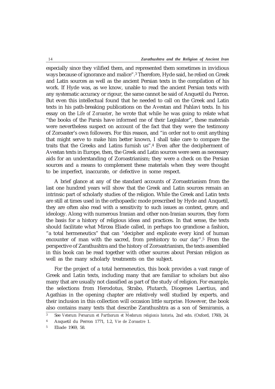especially since they vilified them, and represented them sometimes in invidious ways because of ignorance and malice".3 Therefore, Hyde said, he relied on Greek and Latin sources as well as the ancient Persian texts in the compilation of his work. If Hyde was, as we know, unable to read the ancient Persian texts with any systematic accuracy or rigour, the same cannot be said of Anquetil du Perron. But even this intellectual found that he needed to call on the Greek and Latin texts in his path-breaking publications on the Avestan and Pahlavi texts. In his essay on the *Life of Zoroaster*, he wrote that while he was going to relate what "the books of the Parsis have informed me of their Legislator", these materials were nevertheless suspect on account of the fact that they were the testimony of Zoroaster's own followers. For this reason, and "in order not to omit anything that might serve to make him better known, I shall take care to compare the traits that the Greeks and Latins furnish us".4 Even after the decipherment of Avestan texts in Europe, then, the Greek and Latin sources were seen as necessary aids for an understanding of Zoroastrianism; they were a check on the Persian sources and a means to complement these materials when they were thought to be imperfect, inaccurate, or defective in some respect.

A brief glance at any of the standard accounts of Zoroastrianism from the last one hundred years will show that the Greek and Latin sources remain an intrinsic part of scholarly studies of the religion. While the Greek and Latin texts are still at times used in the orthopaedic mode prescribed by Hyde and Anquetil, they are often also read with a sensitivity to such issues as context, genre, and ideology. Along with numerous Iranian and other non-Iranian sources, they form the basis for a history of religious ideas and practices. In that sense, the texts should facilitate what Mircea Eliade called, in perhaps too grandiose a fashion, "a total hermeneutics" that can "decipher and explicate every kind of human encounter of man with the sacred, from prehistory to our day".5 From the perspective of Zarathushtra and the history of Zoroastrianism, the texts assembled in this book can be read together with other sources about Persian religion as well as the many scholarly treatments on the subject.

For the project of a total hermeneutics, this book provides a vast range of Greek and Latin texts, including many that are familiar to scholars but also many that are usually not classified as part of the study of religion. For example, the selections from Herodotus, Strabo, Plutarch, Diogenes Laertius, and Agathias in the opening chapter are relatively well studied by experts, and their inclusion in this collection will occasion little surprise. However, the book also contains many texts that describe Zarathushtra as a son of Semiramis, a

<sup>3</sup> See *Veterum Persarum et Parthorum et Medorum religionis historia,* 2nd edn. (Oxford, 1760), 24.

<sup>4</sup> Anquetil du Perron 1771, 1.2, *Vie de Zoroastre* 1.

<sup>5</sup> Eliade 1969, 58.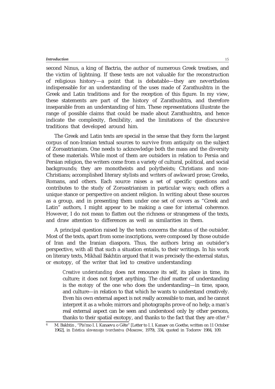second Ninus, a king of Bactria, the author of numerous Greek treatises, and the victim of lightning. If these texts are not valuable for the reconstruction of religious history—a point that is debatable—they are nevertheless indispensable for an understanding of the uses made of Zarathushtra in the Greek and Latin traditions and for the reception of this figure. In my view, these statements are part of the history of Zarathushtra, and therefore inseparable from an understanding of him. These representations illustrate the range of possible claims that could be made about Zarathushtra, and hence indicate the complexity, flexibility, and the limitations of the discursive traditions that developed around him.

The Greek and Latin texts are special in the sense that they form the largest corpus of non-Iranian textual sources to survive from antiquity on the subject of Zoroastrianism. One needs to acknowledge both the mass and the diversity of these materials. While most of them are outsiders in relation to Persia and Persian religion, the writers come from a variety of cultural, political, and social backgrounds; they are monotheists and polytheists; Christians and non-Christians; accomplished literary stylists and writers of awkward prose; Greeks, Romans, and others. Each source raises a set of specific questions and contributes to the study of Zoroastrianism in particular ways; each offers a unique stance or perspective on ancient religion. In writing about these sources as a group, and in presenting them under one set of covers as "Greek and Latin" authors, I might appear to be making a case for internal coherence. However, I do not mean to flatten out the richness or strangeness of the texts, and draw attention to differences as well as similarities in them.

A principal question raised by the texts concerns the status of the outsider. Most of the texts, apart from some inscriptions, were composed by those outside of Iran and the Iranian diaspora. Thus, the authors bring an outsider's perspective, with all that such a situation entails, to their writings. In his work on literary texts, Mikhail Bakhtin argued that it was precisely the external status, or exotopy, of the writer that led to creative understanding:

*Creative understanding* does not renounce its self, its place in time, its culture; it does not forget anything. The chief matter of understanding is the *exotopy* of the one who does the understanding—in time, space, and culture—in relation to that which he wants to understand creatively. Even his own external aspect is not really accessible to man, and he cannot interpret it as a whole; mirrors and photographs prove of no help; a man's real external aspect can be seen and understood only by other persons, thanks to their spatial exotopy, and thanks to the fact that they are *other*. 6

15

<sup>6</sup> M. Bakhtin , "Pis'mo I. I. Kanaevu o Gëte" [Letter to I. I. Kanaev on Goethe, written on 11 October 1962], in *Estetica slovesnogo tvorchestva* (Moscow, 1979), 334, quoted in Todorov 1984, 109.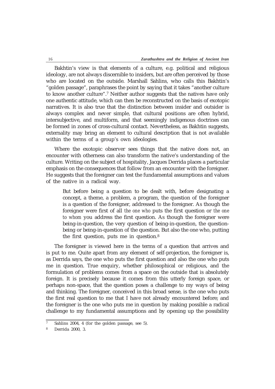Bakhtin's view is that elements of a culture, e.g. political and religious ideology, are not always discernible to insiders, but are often perceived by those who are located on the outside. Marshall Sahlins, who calls this Bakhtin's "golden passage", paraphrases the point by saying that it takes "another culture to know another culture".7 Neither author suggests that the natives have only one authentic attitude, which can then be reconstructed on the basis of exotopic narratives. It is also true that the distinction between insider and outsider is always complex and never simple, that cultural positions are often hybrid, intersubjective, and multiform, and that seemingly indigenous doctrines can be formed in zones of cross-cultural contact. Nevertheless, as Bakhtin suggests, externality may bring an element to cultural description that is not available within the terms of a group's own ideologies.

Where the exotopic observer sees things that the native does not, an encounter with otherness can also transform the native's understanding of the culture. Writing on the subject of hospitality, Jacques Derrida places a particular emphasis on the consequences that follow from an encounter with the foreigner. He suggests that the foreigner can test the fundamental assumptions and values of the native in a radical way.

But before being a question to be dealt with, before designating a concept, a theme, a problem, a program, the question of the foreigner is a question *of* the foreigner, addressed *to* the foreigner. As though the foreigner were first of all *the one who* puts the first question or *the one to whom* you address the first question. As though the foreigner were being-in-question, the very question of being-in-question, the questionbeing or being-in-question of the question. But also the one who, putting the first question, puts me in question.8

The foreigner is viewed here in the terms of a question that arrives and is put to me. Quite apart from any element of self-projection, the foreigner is, as Derrida says, the one who puts the first question and also the one who puts me in question. True enquiry, whether philosophical or religious, and the formulation of problems comes from a space on the outside that is absolutely foreign. It is precisely because it comes from this utterly foreign space, or perhaps non-space, that the question poses a challenge to my ways of being and thinking. The foreigner, conceived in this broad sense, is the one who puts the first real question to me that I have not already encountered before; and the foreigner is the one who puts me in question by making possible a radical challenge to my fundamental assumptions and by opening up the possibility

<sup>7</sup> Sahlins 2004, 4 (for the golden passage, see 5).

<sup>8</sup> Derrida 2000, 3.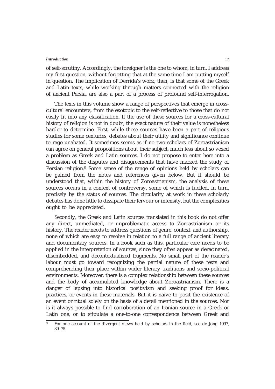of self-scrutiny. Accordingly, the foreigner is the one to whom, in turn, I address my first question, without forgetting that at the same time I am putting myself in question. The implication of Derrida's work, then, is that some of the Greek and Latin texts, while working through matters connected with the religion of ancient Persia, are also a part of a process of profound self-interrogation.

The texts in this volume show a range of perspectives that emerge in crosscultural encounters, from the exotopic to the self-reflective to those that do not easily fit into any classification. If the use of these sources for a cross-cultural history of religion is not in doubt, the exact nature of their value is nonetheless harder to determine. First, while these sources have been a part of religious studies for some centuries, debates about their utility and significance continue to rage unabated. It sometimes seems as if no two scholars of Zoroastrianism can agree on general propositions about their subject, much less about so vexed a problem as Greek and Latin sources. I do not propose to enter here into a discussion of the disputes and disagreements that have marked the study of Persian religion.9 Some sense of the range of opinions held by scholars can be gained from the notes and references given below. But it should be understood that, within the history of Zoroastrianism, the analysis of these sources occurs in a context of controversy, some of which is fuelled, in turn, precisely by the status of sources. The circularity at work in these scholarly debates has done little to dissipate their fervour or intensity, but the complexities ought to be appreciated.

Secondly, the Greek and Latin sources translated in this book do not offer any direct, unmediated, or unproblematic access to Zoroastrianism or its history. The reader needs to address questions of genre, context, and authorship, none of which are easy to resolve in relation to a full range of ancient literary and documentary sources. In a book such as this, particular care needs to be applied in the interpretation of sources, since they often appear as deracinated, disembedded, and decontextualized fragments. No small part of the reader's labour must go toward recognizing the partial nature of these texts and comprehending their place within wider literary traditions and socio-political environments. Moreover, there is a complex relationship between these sources and the body of accumulated knowledge about Zoroastrianism. There is a danger of lapsing into historical positivism and seeking proof for ideas, practices, or events in these materials. But it is naive to posit the existence of an event or ritual solely on the basis of a detail mentioned in the sources. Nor is it always possible to find corroboration of an Iranian source in a Greek or Latin one, or to stipulate a one-to-one correspondence between Greek and

<sup>9</sup> For one account of the divergent views held by scholars in the field, see de Jong 1997, 39–75.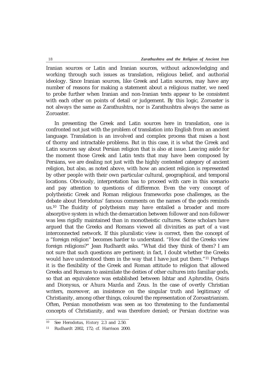Iranian sources or Latin and Iranian sources, without acknowledging and working through such issues as translation, religious belief, and authorial ideology. Since Iranian sources, like Greek and Latin sources, may have any number of reasons for making a statement about a religious matter, we need to probe further when Iranian and non-Iranian texts appear to be consistent with each other on points of detail or judgement. By this logic, Zoroaster is not always the same as Zarathushtra, nor is Zarathushtra always the same as Zoroaster.

In presenting the Greek and Latin sources here in translation, one is confronted not just with the problem of translation into English from an ancient language. Translation is an involved and complex process that raises a host of thorny and intractable problems. But in this case, it is what the Greek and Latin sources say about Persian religion that is also at issue. Leaving aside for the moment those Greek and Latin texts that may have been composed by Persians, we are dealing not just with the highly contested category of ancient religion, but also, as noted above, with how an ancient religion is represented by other people with their own particular cultural, geographical, and temporal locations. Obviously, interpretation has to proceed with care in this scenario and pay attention to questions of difference. Even the very concept of polytheistic Greek and Roman religious frameworks pose challenges, as the debate about Herodotus' famous comments on the names of the gods reminds us.10 The fluidity of polytheism may have entailed a broader and more absorptive system in which the demarcation between follower and non-follower was less rigidly maintained than in monotheistic cultures. Some scholars have argued that the Greeks and Romans viewed all divinities as part of a vast interconnected network. If this pluralistic view is correct, then the concept of a "foreign religion" becomes harder to understand. "How did the Greeks view foreign religions?" Jean Rudhardt asks. "What did they think of them? I am not sure that such questions are pertinent; in fact, I doubt whether the Greeks would have understood them in the way that I have just put them."11 Perhaps it is the flexibility of the Greek and Roman attitude to religion that allowed Greeks and Romans to assimilate the deities of other cultures into familiar gods, so that an equivalence was established between Ishtar and Aphrodite, Osiris and Dionysus, or Ahura Mazda and Zeus. In the case of overtly Christian writers, moreover, an insistence on the singular truth and legitimacy of Christianity, among other things, coloured the representation of Zoroastrianism. Often, Persian monotheism was seen as too threatening to the fundamental concepts of Christianity, and was therefore denied; or Persian doctrine was

<sup>10</sup> See Herodotus, *History* 2.3 and 2.50.

<sup>11</sup> Rudhardt 2002, 172; cf. Harrison 2000.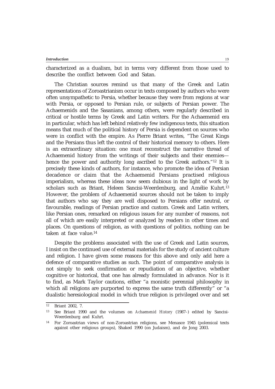characterized as a dualism, but in terms very different from those used to describe the conflict between God and Satan.

The Christian sources remind us that many of the Greek and Latin representations of Zoroastrianism occur in texts composed by authors who were often unsympathetic to Persia, whether because they were from regions at war with Persia, or opposed to Persian rule, or subjects of Persian power. The Achaemenids and the Sasanians, among others, were regularly described in critical or hostile terms by Greek and Latin writers. For the Achaemenid era in particular, which has left behind relatively few indigenous texts, this situation means that much of the political history of Persia is dependent on sources who were in conflict with the empire. As Pierre Briant writes, "The Great Kings and the Persians thus left the control of their historical memory to others. Here is an extraordinary situation: one must reconstruct the narrative thread of Achaemenid history from the writings of their subjects and their enemies hence the power and authority long ascribed to the Greek authors."12 It is precisely these kinds of authors, for instance, who promote the idea of Persian decadence or claim that the Achaemenid Persians practised religious imperialism, whereas these ideas now seem dubious in the light of work by scholars such as Briant, Heleen Sancisi-Weerdenburg, and Amélie Kuhrt.13 However, the problem of Achaemenid sources should not be taken to imply that authors who say they are well disposed to Persians offer neutral, or favourable, readings of Persian practice and custom. Greek and Latin writers, like Persian ones, remarked on religious issues for any number of reasons, not all of which are easily interpreted or analyzed by readers in other times and places. On questions of religion, as with questions of politics, nothing can be taken at face value.14

Despite the problems associated with the use of Greek and Latin sources, I insist on the continued use of external materials for the study of ancient culture and religion. I have given some reasons for this above and only add here a defence of comparative studies as such. The point of comparative analysis is not simply to seek confirmation or repudiation of an objective, whether cognitive or historical, that one has already formulated in advance. Nor is it to find, as Mark Taylor cautions, either "a monistic perennial philosophy in which all religions are purported to express the same truth differently" or "a dualistic heresiological model in which true religion is privileged over and set

 $12$  Briant 2002, 7.

<sup>13</sup> See Briant 1990 and the volumes on *Achaemenid History* (1987–) edited by Sancisi-Weerdenburg and Kuhrt.

<sup>14</sup> For Zoroastrian views of non-Zoroastrian religions, see Menasce 1945 (polemical texts against other religious groups), Shaked 1990 (on Judaism), and de Jong 2003.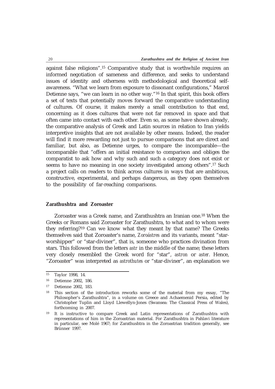against false religions".15 Comparative study that is worthwhile requires an informed negotiation of sameness and difference, and seeks to understand issues of identity and otherness with methodological and theoretical selfawareness. "What we learn from exposure to dissonant configurations," Marcel Detienne says, "we can learn in no other way."16 In that spirit, this book offers a set of texts that potentially moves forward the comparative understanding of cultures. Of course, it makes merely a small contribution to that end, concerning as it does cultures that were not far removed in space and that often came into contact with each other. Even so, as some have shown already, the comparative analysis of Greek and Latin sources in relation to Iran yields interpretive insights that are not available by other means. Indeed, the reader will find it more rewarding not just to pursue comparisons that are direct and familiar, but also, as Detienne urges, to compare the incomparable—the incomparable that "offers an initial resistance to comparison and obliges the comparatist to ask how and why such and such a category does not exist or seems to have no meaning in one society investigated among others".<sup>17</sup> Such a project calls on readers to think across cultures in ways that are ambitious, constructive, experimental, and perhaps dangerous, as they open themselves to the possibility of far-reaching comparisons.

# **Zarathushtra and Zoroaster**

Zoroaster was a Greek name, and Zarathushtra an Iranian one.18 When the Greeks or Romans said Zoroaster for Zarathushtra, to what and to whom were they referring?19 Can we know what they meant by that name? The Greeks themselves said that Zoroaster's name, *Zoroástres* and its variants, meant "starworshipper" or "star-diviner", that is, someone who practices divination from stars. This followed from the letters *astr* in the middle of the name; these letters very closely resembled the Greek word for "star", *astron* or *aster*. Hence, "Zoroaster" was interpreted as *astrothutes* or "star-diviner", an explanation we

<sup>15</sup> Taylor 1998, 14.

<sup>16</sup> Detienne 2002, 186.

<sup>17</sup> Detienne 2002, 183.

<sup>18</sup> This section of the introduction reworks some of the material from my essay, "The Philosopher's Zarathushtra", in a volume on Greece and Achaemenid Persia, edited by Christopher Tuplin and Lloyd Llewellyn-Jones (Swansea: The Classical Press of Wales), forthcoming in 2007.

<sup>19</sup> It is instructive to compare Greek and Latin representations of Zarathushtra with representations of him in the Zoroastrian material. For Zarathushtra in Pahlavi literature in particular, see Molé 1967; for Zarathushtra in the Zoroastrian tradition generally, see Brünner 1997.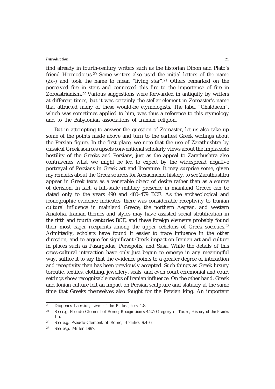find already in fourth-century writers such as the historian Dinon and Plato's friend Hermodorus.20 Some writers also used the initial letters of the name (*Zo*-) and took the name to mean "living star".21 Others remarked on the perceived fire in stars and connected this fire to the importance of fire in Zoroastrianism.22 Various suggestions were forwarded in antiquity by writers at different times, but it was certainly the stellar element in Zoroaster's name that attracted many of these would-be etymologists. The label "Chaldaean", which was sometimes applied to him, was thus a reference to this etymology and to the Babylonian associations of Iranian religion.

But in attempting to answer the question of Zoroaster, let us also take up some of the points made above and turn to the earliest Greek writings about the Persian figure. In the first place, we note that the use of Zarathushtra by classical Greek sources upsets conventional scholarly views about the implacable hostility of the Greeks and Persians, just as the appeal to Zarathushtra also contravenes what we might be led to expect by the widespread negative portrayal of Persians in Greek art and literature. It may surprise some, given my remarks about the Greek sources for Achaemenid history, to see Zarathushtra appear in Greek texts as a venerable object of desire rather than as a source of derision. In fact, a full-scale military presence in mainland Greece can be dated only to the years 490 and 480–479 BCE. As the archaeological and iconographic evidence indicates, there was considerable receptivity to Iranian cultural influence in mainland Greece, the northern Aegean, and western Anatolia. Iranian themes and styles may have assisted social stratification in the fifth and fourth centuries BCE, and these foreign elements probably found their most eager recipients among the upper echelons of Greek societies.23 Admittedly, scholars have found it easier to trace influence in the other direction, and to argue for significant Greek impact on Iranian art and culture in places such as Pasargadae, Persepolis, and Susa. While the details of this cross-cultural interaction have only just begun to emerge in any meaningful way, suffice it to say that the evidence points to a greater degree of interaction and receptivity than has been previously accepted. Such things as Greek luxury toreutic, textiles, clothing, jewellery, seals, and even court ceremonial and court settings show recognizable marks of Iranian influence. On the other hand, Greek and Ionian culture left an impact on Persian sculpture and statuary at the same time that Greeks themselves also fought for the Persian king. An important

<sup>20</sup> Diogenes Laertius, *Lives of the Philosophers* 1.8.

<sup>21</sup> See e.g. Pseudo-Clement of Rome, *Recognitiones* 4.27; Gregory of Tours, *History of the Franks* 1.5.

<sup>22</sup> See e.g. Pseudo-Clement of Rome, *Homilies* 9.4–6.

<sup>23</sup> See esp. Miller 1997.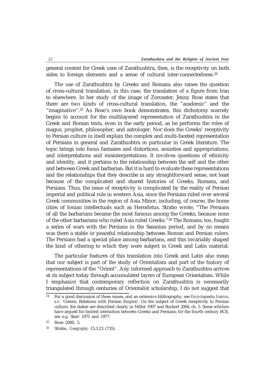general context for Greek uses of Zarathushtra, then, is the receptivity on both sides to foreign elements and a sense of cultural inter-connectedness.24

The use of Zarathushtra by Greeks and Romans also raises the question of cross-cultural translation, in this case, the translation of a figure from Iran to elsewhere. In her study of the image of Zoroaster, Jenny Rose states that there are two kinds of cross-cultural translation, the "academic" and the "imaginative".25 As Rose's own book demonstrates, this dichotomy scarcely begins to account for the multilayered representation of Zarathushtra in the Greek and Roman texts, even in the early period, as he performs the roles of magus, prophet, philosopher, and astrologer. Nor does the Greeks' receptivity to Persian culture in itself explain the complex and multi-faceted representation of Persians in general and Zarathushtra in particular in Greek literature. The topic brings into focus fantasies and distortions, anxieties and appropriations, and interpretations and misinterpretations. It involves questions of ethnicity and identity, and it pertains to the relationship between the self and the other and between Greek and barbarian. But it is hard to evaluate these representations and the relationships that they describe in any straightforward sense, not least because of the complicated and shared histories of Greeks, Romans, and Persians. Thus, the issue of receptivity is complicated by the reality of Persian imperial and political rule in western Asia, since the Persians ruled over several Greek communities in the region of Asia Minor, including, of course, the home cities of Ionian intellectuals such as Herodotus. Strabo wrote, "The Persians of all the barbarians became the most famous among the Greeks, because none of the other barbarians who ruled Asia ruled Greeks."26 The Romans, too, fought a series of wars with the Persians in the Sasanian period, and by no means was there a stable or peaceful relationship between Roman and Persian rulers. The Persians had a special place among barbarians, and this invariably shaped the kind of othering to which they were subject in Greek and Latin material.

The particular features of this translation into Greek and Latin also mean that our subject is part of the study of Orientalism and part of the history of representations of the "Orient". Any informed approach to Zarathushtra arrives at its subject today through accumulated layers of European Orientalism. While I emphasize that contemporary reflection on Zarathushtra is necessarily triangulated through centuries of Orientalist scholarship, I do not suggest that

<sup>24</sup> For a good discussion of these issues, and an extensive bibliography, see *Encyclopaedia Iranica*, s.v. 'Greece, Relations with Persian Empire'. On the subject of Greek receptivity to Persian culture, the stakes are described clearly in Miller 1997 and Burkert 2004, ch. 5. Some scholars have argued for limited interaction between Greeks and Persians; for the fourth century BCE, see e.g. Starr 1975 and 1977.

<sup>25</sup> Rose 2000, 5.

<sup>26</sup> Strabo, *Geography* 15.3.23 (735).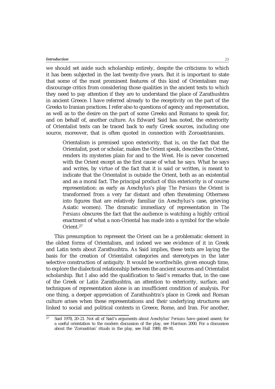we should set aside such scholarship entirely, despite the criticisms to which it has been subjected in the last twenty-five years. But it is important to state that some of the most prominent features of this kind of Orientalism may discourage critics from considering those qualities in the ancient texts to which they need to pay attention if they are to understand the place of Zarathushtra in ancient Greece. I have referred already to the receptivity on the part of the Greeks to Iranian practices. I refer also to questions of agency and representation, as well as to the desire on the part of some Greeks and Romans to speak for, and on behalf of, another culture. As Edward Said has noted, the exteriority of Orientalist texts can be traced back to early Greek sources, including one source, moreover, that is often quoted in connection with Zoroastrianism.

Orientalism is premised upon exteriority, that is, on the fact that the Orientalist, poet or scholar, makes the Orient speak, describes the Orient, renders its mysteries plain for and to the West. He is never concerned with the Orient except as the first cause of what he says. What he says and writes, by virtue of the fact that it is said or written, is meant to indicate that the Orientalist is outside the Orient, both as an existential and as a moral fact. The principal product of this exteriority is of course representation: as early as Aeschylus's play *The Persians* the Orient is transformed from a very far distant and often threatening Otherness into figures that are relatively familiar (in Aeschylus's case, grieving Asiatic women). The dramatic immediacy of representation in *The Persians* obscures the fact that the audience is watching a highly critical enactment of what a non-Oriental has made into a symbol for the whole Orient.27

This presumption to represent the Orient can be a problematic element in the oldest forms of Orientalism, and indeed we see evidence of it in Greek and Latin texts about Zarathushtra. As Said implies, these texts are laying the basis for the creation of Orientalist categories and stereotypes in the later selective construction of antiquity. It would be worthwhile, given enough time, to explore the dialectical relationship between the ancient sources and Orientalist scholarship. But I also add the qualification to Said's remarks that, in the case of the Greek or Latin Zarathushtra, an attention to exteriority, surface, and techniques of representation alone is an insufficient condition of analysis. For one thing, a deeper appreciation of Zarathushtra's place in Greek and Roman culture arises when these representations and their underlying structures are linked to social and political contexts in Greece, Rome, and Iran. For another,

23

<sup>27</sup> Said 1978, 20–21. Not all of Said's arguments about Aeschylus' *Persians* have gained assent; for a useful orientation to the modern discussion of the play, see Harrison 2000. For a discussion about the 'Zoroastrian' rituals in the play, see Hall 1989, 89–91.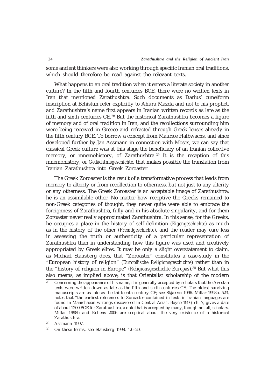some ancient thinkers were also working through specific Iranian oral traditions, which should therefore be read against the relevant texts.

What happens to an oral tradition when it enters a literate society in another culture? In the fifth and fourth centuries BCE, there were no written texts in Iran that mentioned Zarathushtra. Such documents as Darius' cuneiform inscription at Behistun refer explicitly to Ahura Mazda and not to his prophet, and Zarathushtra's name first appears in Iranian written records as late as the fifth and sixth centuries CE.28 But the historical Zarathushtra becomes a figure of memory and of oral tradition in Iran, and the recollections surrounding him were being received in Greece and refracted through Greek lenses already in the fifth century BCE. To borrow a concept from Maurice Halbwachs, and since developed further by Jan Assmann in connection with Moses, we can say that classical Greek culture was at this stage the beneficiary of an Iranian collective memory, or mnemohistory, of Zarathushtra.29 It is the reception of this mnemohistory, or *Gedächtnisgeschichte*, that makes possible the translation from Iranian Zarathushtra into Greek Zoroaster.

The Greek Zoroaster is the result of a transformative process that leads from memory to alterity or from recollection to otherness, but not just to any alterity or any otherness. The Greek Zoroaster is an acceptable image of Zarathushtra; he is an assimilable other. No matter how receptive the Greeks remained to non-Greek categories of thought, they never quite were able to embrace the foreignness of Zarathushtra, fully and in his absolute singularity, and for them Zoroaster never really approximated Zarathushtra. In this sense, for the Greeks, he occupies a place in the history of self-definition (*Eigengeschichte*) as much as in the history of the other (*Fremdgeschichte*), and the reader may care less in assessing the truth or authenticity of a particular representation of Zarathushtra than in understanding how this figure was used and creatively appropriated by Greek elites. It may be only a slight overstatement to claim, as Michael Stausberg does, that "Zoroaster" constitutes a case-study in the "European history of religion" (*Europäische Religionsgeschichte*) rather than in the "history of religion in Europe" (*Religionsgeschichte Europas*).30 But what this also means, as implied above, is that Orientalist scholarship of the modern

 $\frac{28}{28}$  Concerning the appearance of his name, it is generally accepted by scholars that the Avestan texts were written down as late as the fifth and sixth centuries CE. The oldest surviving manuscripts are as late as the thirteenth century CE; see Skjærvø 1996. Millar 1998b, 523, notes that "the earliest references to Zoroaster contained in texts in Iranian languages are found in Manichaean writings discovered in Central Asia". Boyce 1996, ch. 7, gives a date of about 1200 BCE for Zarathushtra, a date that is accepted by many, though not all, scholars. Millar 1998b and Kellens 2006 are sceptical about the very existence of a historical Zarathusthra.

<sup>29</sup> Assmann 1997.

<sup>30</sup> On these terms, see Stausberg 1998, 1.6–20.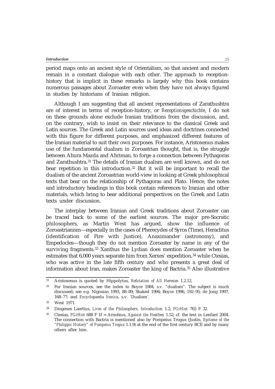period maps onto an ancient style of Orientalism, so that ancient and modern remain in a constant dialogue with each other. The approach to receptionhistory that is implicit in these remarks is largely why this book contains numerous passages about Zoroaster even when they have not always figured in studies by historians of Iranian religion.

Although I am suggesting that all ancient representations of Zarathushtra are of interest in terms of reception-history, or *Rezeptionsgeschichte*, I do not on these grounds alone exclude Iranian traditions from the discussion, and, on the contrary, wish to insist on their relevance to the classical Greek and Latin sources. The Greek and Latin sources used ideas and doctrines connected with this figure for different purposes, and emphasized different features of the Iranian material to suit their own purposes. For instance, Aristoxenus makes use of the fundamental dualism in Zoroastrian thought, that is, the struggle between Ahura Mazda and Ahriman, to forge a connection between Pythagoras and Zarathushtra.31 The details of Iranian dualism are well known, and do not bear repetition in this introduction.32 But it will be important to recall the dualism of the ancient Zoroastrian world-view in looking at Greek philosophical texts that bear on the relationship of Pythagoras and Plato. Hence, the notes and introductory headings in this book contain references to Iranian and other materials, which bring to bear additional perspectives on the Greek and Latin texts under discussion.

The interplay between Iranian and Greek traditions about Zoroaster can be traced back to some of the earliest sources. The major pre-Socratic philosophers, as Martin West has argued, show the influence of Zoroastrianism—especially in the cases of Pherecydes of Syros (Time), Heraclitus (identification of Fire with Justice), Anaximander (astronomy), and Empedocles—though they do not mention Zoroaster by name in any of the surviving fragments.<sup>33</sup> Xanthus the Lydian does mention Zoroaster when he estimates that 6,000 years separate him from Xerxes' expedition,34 while Ctesias, who was active in the late fifth century and who presents a great deal of information about Iran, makes Zoroaster the king of Bactria.35 Also illustrative

<sup>31</sup> Aristoxenus is quoted by Hippolytus, *Refutation of All Heresies* 1.2.12.

<sup>32</sup> For Iranian sources, see the index to Boyce 1984, s.v. "dualism". The subject is much discussed; see e.g. Nigosian 1993, 88–89; Shaked 1994; Boyce 1996, 192–95; de Jong 1997, 168–77; and *Encyclopaedia Iranica*, s.v. 'Dualism'.

<sup>33</sup> West 1971.

<sup>34</sup> Diogenes Laertius, *Lives of the Philosophers, Introduction* 1.2; *FGrHist* 765 F 32.

<sup>35</sup> Ctesias, *FGrHist* 688 F 1f = Arnobius, *Against the Heathen* 1.52; cf. the text in Lenfant 2004. The connection with Bactria is mentioned also by Pompeius Trogus (Justin, *Epitome of the "Philippic History" of Pompeius Trogus* 1.1.9) at the end of the first century BCE and by many others after him.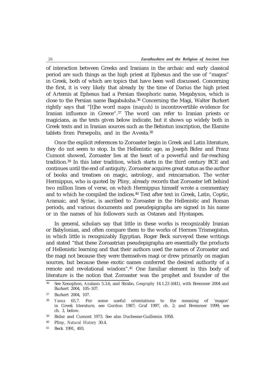of interaction between Greeks and Iranians in the archaic and early classical period are such things as the high priest at Ephesus and the use of "magos" in Greek, both of which are topics that have been well discussed. Concerning the first, it is very likely that already by the time of Darius the high priest of Artemis at Ephesus had a Persian theophoric name, Megabyxos, which is close to the Persian name Bagabuksha.36 Concerning the Magi, Walter Burkert rightly says that "[t]he word *magos* (*magush*) is incontrovertible evidence for Iranian influence in Greece".37 The word can refer to Iranian priests or magicians, as the texts given below indicate, but it shows up widely both in Greek texts and in Iranian sources such as the Behistun inscription, the Elamite tablets from Persepolis, and in the Avesta.38

Once the explicit references to Zoroaster begin in Greek and Latin literature, they do not seem to stop. In the Hellenistic age, as Joseph Bidez and Franz Cumont showed, Zoroaster lies at the heart of a powerful and far-reaching tradition.39 In this later tradition, which starts in the third century BCE and continues until the end of antiquity, Zoroaster acquires great status as the author of books and treatises on magic, astrology, and reincarnation. The writer Hermippus, who is quoted by Pliny, already records that Zoroaster left behind two million lines of verse, on which Hermippus himself wrote a commentary and to which he compiled the indices.40 Text after text in Greek, Latin, Coptic, Aramaic, and Syriac, is ascribed to Zoroaster in the Hellenistic and Roman periods, and various documents and pseudepigrapha are signed in his name or in the names of his followers such as Ostanes and Hystaspes.

In general, scholars say that little in these works is recognizably Iranian or Babylonian, and often compare them to the works of Hermes Trismegistus, in which little is recognizably Egyptian. Roger Beck surveyed these writings and stated "that these Zoroastrian pseudepigrapha are essentially the products of Hellenistic learning and that their authors used the names of Zoroaster and the magi not because they were themselves magi or drew primarily on magian sources, but because these exotic names conferred the desired authority of a remote and revelational wisdom".41 One familiar element in this body of literature is the notion that Zoroaster was the prophet and founder of the

<sup>36</sup> See Xenophon, *Anabasis* 5.3.6, and Strabo, *Geography* 14.1.23 (641), with Bremmer 2004 and Burkert 2004, 105–107.

<sup>37</sup> Burkert 2004, 107.

<sup>38</sup> *Yasna* 65.7. For some useful orientations to the meaning of 'magos' in Greek literature, see Gordon 1987; Graf 1997, ch. 2; and Bremmer 1999; see ch. 3, below.

<sup>39</sup> Bidez and Cumont 1973. See also Duchesne-Guillemin 1958.

<sup>40</sup> Pliny, *Natural History* 30.4.

<sup>41</sup> Beck 1991, 493.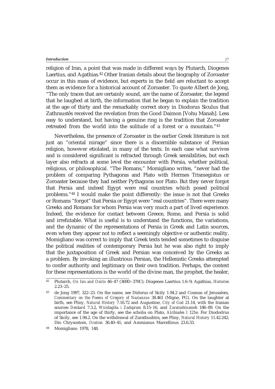religion of Iran, a point that was made in different ways by Plutarch, Diogenes Laertius, and Agathias.42 Other Iranian details about the biography of Zoroaster occur in this mass of evidence, but experts in the field are reluctant to accept them as evidence for a historical account of Zoroaster. To quote Albert de Jong, "The only traces that are certainly sound, are the name of Zoroaster, the legend that he laughed at birth, the information that he began to explain the tradition at the age of thirty and the remarkably correct story in Diodorus Siculus that Zathraustês received the revelation from the Good Daimon [Vohu Manah]. Less easy to understand, but having a genuine ring is the tradition that Zoroaster retreated from the world into the solitude of a forest or a mountain."43

Nevertheless, the presence of Zoroaster in the earlier Greek literature is not just an "oriental mirage" since there is a discernible substance of Persian religion, however etiolated, in many of the texts. In each case what survives and is considered significant is refracted through Greek sensibilities, but each layer also refracts at some level the encounter with Persia, whether political, religious, or philosophical. "The Romans," Momigliano writes, "never had the problem of comparing Pythagoras and Plato with Hermes Trismegistus or Zoroaster because they had neither Pythagoras nor Plato. But they never forgot that Persia and indeed Egypt were real countries which posed political problems."44 I would make the point differently: the issue is not that Greeks or Romans "forgot" that Persia or Egypt were "real countries". There were many Greeks and Romans for whom Persia was very much a part of lived experience. Indeed, the evidence for contact between Greece, Rome, and Persia is solid and irrefutable. What is useful is to understand the functions, the variations, and the dynamic of the representations of Persia in Greek and Latin sources, even when they appear not to reflect a seemingly objective or authentic reality. Momigliano was correct to imply that Greek texts tended sometimes to disguise the political realities of contemporary Persia but he was also right to imply that the juxtaposition of Greek and Persian was conceived by the Greeks as a problem. By invoking an illustrious Persian, the Hellenistic Greeks attempted to confer authority and legitimacy on their own tradition. Perhaps, the context for these representations is the world of the divine man, the prophet, the healer,

Momigliano 1978, 148.

<sup>42</sup> Plutarch, *On Isis and Osiris* 46–47 (369D–370C); Diogenes Laertius 1.6–9; Agathias, *Histories* 2.23–25.

<sup>43</sup> de Jong 1997, 322–23. On the name, see Didorus of Sicily 1.94.2 and Cosmas of Jerusalem, *Commentary on the Poems of Gregory of Nazianzus* 38.461 (Migne, PG). On the laughter at birth, see Pliny, *Natural History* 7.16.72 and Augustine, *City of God* 21.14, with the Iranian sources *Denkard* 7.3.2, *Wizidagiha i Zadspram* 8.15–16, and *Zaratoshtnameh* 186–89. On the importance of the age of thirty, see the scholia on Plato, *Alcibiades I* 121e. For Diododrus of Sicily, see 1.94.2. On the withdrawal of Zarathushtra, see Pliny, *Natural History* 11.42.242; Dio Chrysostom, *Oration* 36.40–41; and Ammianus Marcellinus 23.6.33.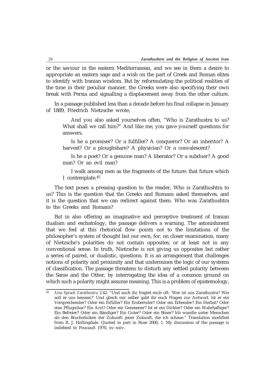or the saviour in the eastern Mediterranean, and we see in them a desire to appropriate an eastern sage and a wish on the part of Greek and Roman elites to identify with Iranian wisdom. But by reformulating the political realities of the time in their peculiar manner, the Greeks were also specifying their own break with Persia and signalling a displacement away from the other culture.

In a passage published less than a decade before his final collapse in January of 1889, Friedrich Nietzsche wrote,

And you also asked yourselves often, "Who is Zarathustra to us? What shall we call him?" And like me, you gave yourself questions for answers.

Is he a promiser? Or a fulfiller? A conqueror? Or an inheritor? A harvest? Or a ploughshare? A physician? Or a convalescent?

Is he a poet? Or a genuine man? A liberator? Or a subduer? A good man? Or an evil man?

I walk among men as the fragments of the future: that future which I contemplate.45

The text poses a pressing question to the reader, Who is Zarathushtra to us? This is the question that the Greeks and Romans asked themselves, and it is the question that we can redirect against them. Who was Zarathushtra to the Greeks and Romans?

But in also offering an imaginative and perceptive treatment of Iranian dualism and eschatology, the passage delivers a warning. The astonishment that we feel at this rhetorical flow points not to the limitations of the philosopher's system of thought but our own, for, on closer examination, many of Nietzsche's polarities do not contain opposites, or at least not in any conventional sense. In truth, Nietzsche is not giving us opposites but rather a series of paired, or dualistic, questions. It is an arrangement that challenges notions of polarity and proximity and that undermines the logic of our systems of classification. The passage threatens to disturb any settled polarity between the Same and the Other, by interrogating the idea of a common ground on which such a polarity might assume meaning. This is a problem of epistemology,

<sup>45</sup> *Also Sprach Zarathustra* 2.42: "Und auch ihr fragtet euch oft: 'Wer ist uns Zarathustra? Wie soll er uns heissen?' Und gleich mir selber gabt ihr euch Fragen zur Antwort. Ist er ein Versprechender? Oder ein Erfüller? Ein Erobernder? Oder ein Erbender? Ein Herbst? Oder eine Pflugschar? Ein Arzt? Oder ein Genesener? Ist er ein Dichter? Oder ein Wahrhaftiger? Ein Befreier? Oder ein Bändiger? Ein Guter? Oder ein Böser? Ich wandle unter Menschen als den Bruchstücken der Zukunft: jener Zukunft, die ich schaue." Translation modified from R. J. Hollingdale. Quoted in part in Rose 2000, 1. My discussion of the passage is indebted to Foucault 1970, xv–xxiv.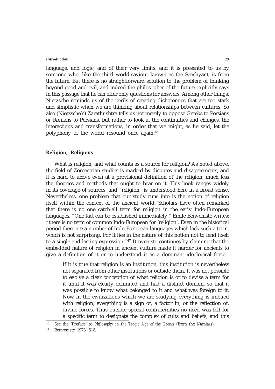language, and logic, and of their very limits, and it is presented to us by someone who, like the third world-saviour known as the Saoshyant, is from the future. But there is no straightforward solution to the problem of thinking beyond good and evil, and indeed the philosopher of the future explicitly says in this passage that he can offer only questions for answers. Among other things, Nietzsche reminds us of the perils of creating dichotomies that are too stark and simplistic when we are thinking about relationships between cultures. So also (Nietzsche's) Zarathushtra tells us not merely to oppose Greeks to Persians or Romans to Persians, but rather to look at the continuities and changes, the interactions and transformations, in order that we might, as he said, let the polyphony of the world resound once again.46

### **Religion, Religions**

What is religion, and what counts as a source for religion? As noted above, the field of Zoroastrian studies is marked by disputes and disagreements, and it is hard to arrive even at a provisional definition of the religion, much less the theories and methods that ought to bear on it. This book ranges widely in its coverage of sources, and "religion" is understood here in a broad sense. Nevertheless, one problem that our study runs into is the notion of religion itself within the context of the ancient world. Scholars have often remarked that there is no one catch-all term for religion in the early Indo-European languages. "One fact can be established immediately," Emile Benveniste writes: "there is no term of common Indo-European for 'religion'. Even in the historical period there are a number of Indo-European languages which lack such a term, which is not surprising. For it lies in the nature of this notion not to lend itself to a single and lasting expression."47 Benveniste continues by claiming that the embedded nature of religion in ancient culture made it harder for ancients to give a definition of it or to understand it as a dominant ideological force.

If it is true that religion is an institution, this institution is nevertheless not separated from other institutions or outside them. It was not possible to evolve a clear conception of what religion is or to devise a term for it until it was clearly delimited and had a distinct domain, so that it was possible to know what belonged to it and what was foreign to it. Now in the civilizations which we are studying everything is imbued with religion, everything is a sign of, a factor in, or the reflection of, divine forces. Thus outside special confraternities no need was felt for a specific term to designate the complex of cults and beliefs, and this

<sup>46</sup> See the 'Preface' to *Philosophy in the Tragic Age of the Greeks* (from the *Nachlass*).

<sup>47</sup> Benveniste 1973, 516.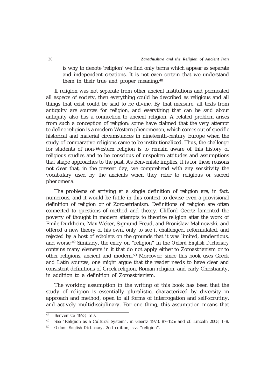is why to denote 'religion' we find only terms which appear as separate and independent creations. It is not even certain that we understand them in their true and proper meaning.48

If religion was not separate from other ancient institutions and permeated all aspects of society, then everything could be described as religious and all things that exist could be said to be divine. By that measure, all texts from antiquity are sources for religion, and everything that can be said about antiquity also has a connection to ancient religion. A related problem arises from such a conception of religion: some have claimed that the very attempt to define religion is a modern Western phenomenon, which comes out of specific historical and material circumstances in nineteenth-century Europe when the study of comparative religions came to be institutionalized. Thus, the challenge for students of non-Western religion is to remain aware of this history of religious studies and to be conscious of unspoken attitudes and assumptions that shape approaches to the past. As Benveniste implies, it is for these reasons not clear that, in the present day, we comprehend with any sensitivity the vocabulary used by the ancients when they refer to religious or sacred phenomena.

The problems of arriving at a single definition of religion are, in fact, numerous, and it would be futile in this context to devise even a provisional definition of religion or of Zoroastrianism. Definitions of religion are often connected to questions of method and theory. Clifford Geertz lamented the poverty of thought in modern attempts to theorize religion after the work of Emile Durkheim, Max Weber, Sigmund Freud, and Bronislaw Malinowski, and offered a new theory of his own, only to see it challenged, reformulated, and rejected by a host of scholars on the grounds that it was limited, tendentious, and worse.49 Similarly, the entry on "religion" in the *Oxford English Dictionary* contains many elements in it that do not apply either to Zoroastrianism or to other religions, ancient and modern.50 Moreover, since this book uses Greek and Latin sources, one might argue that the reader needs to have clear and consistent definitions of Greek religion, Roman religion, and early Christianity, in addition to a definition of Zoroastrianism.

The working assumption in the writing of this book has been that the study of religion is essentially pluralistic, characterized by diversity in approach and method, open to all forms of interrogation and self-scrutiny, and actively multidisciplinary. For one thing, this assumption means that

<sup>48</sup> Benveniste 1973, 517.

<sup>49</sup> See "Religion as a Cultural System", in Geertz 1973, 87–125; and cf. Lincoln 2003, 1–8.

<sup>50</sup> *Oxford English Dictionary*, 2nd edition, s.v. "religion".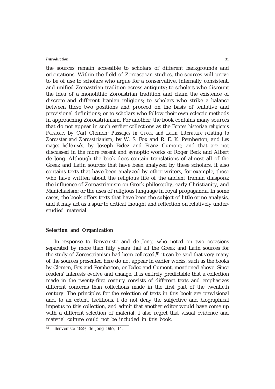the sources remain accessible to scholars of different backgrounds and orientations. Within the field of Zoroastrian studies, the sources will prove to be of use to scholars who argue for a conservative, internally consistent, and unified Zoroastrian tradition across antiquity; to scholars who discount the idea of a monolithic Zoroastrian tradition and claim the existence of discrete and different Iranian religions; to scholars who strike a balance between these two positions and proceed on the basis of tentative and provisional definitions; or to scholars who follow their own eclectic methods in approaching Zoroastrianism. For another, the book contains many sources that do not appear in such earlier collections as the *Fontes historiae religionis Persicae*, by Carl Clemen; *Passages in Greek and Latin Literature relating to Zoroaster and Zoroastrianism*, by W. S. Fox and R. E. K. Pemberton; and *Les mages hellénisés*, by Joseph Bidez and Franz Cumont; and that are not discussed in the more recent and synoptic works of Roger Beck and Albert de Jong. Although the book does contain translations of almost all of the Greek and Latin sources that have been analyzed by these scholars, it also contains texts that have been analyzed by other writers, for example, those who have written about the religious life of the ancient Iranian diaspora; the influence of Zoroastrianism on Greek philosophy, early Christianity, and Manichaeism; or the uses of religious language in royal propaganda. In some cases, the book offers texts that have been the subject of little or no analysis, and it may act as a spur to critical thought and reflection on relatively understudied material.

### **Selection and Organization**

In response to Benveniste and de Jong, who noted on two occasions separated by more than fifty years that all the Greek and Latin sources for the study of Zoroastrianism had been collected,<sup>51</sup> it can be said that very many of the sources presented here do not appear in earlier works, such as the books by Clemen, Fox and Pemberton, or Bidez and Cumont, mentioned above. Since readers' interests evolve and change, it is entirely predictable that a collection made in the twenty-first century consists of different texts and emphasizes different concerns than collections made in the first part of the twentieth century. The principles for the selection of texts in this book are provisional and, to an extent, factitious. I do not deny the subjective and biographical impetus to this collection, and admit that another editor would have come up with a different selection of material. I also regret that visual evidence and material culture could not be included in this book.

31

<sup>51</sup> Benveniste 1929; de Jong 1997, 14.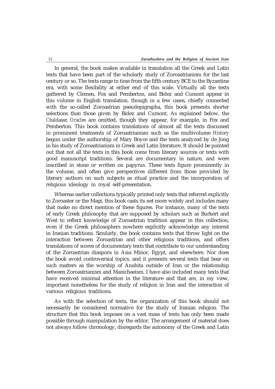In general, the book makes available in translation all the Greek and Latin texts that have been part of the scholarly study of Zoroastrianism for the last century or so. The texts range in time from the fifth century BCE to the Byzantine era, with some flexibility at either end of this scale. Virtually all the texts gathered by Clemen, Fox and Pemberton, and Bidez and Cumont appear in this volume in English translation, though in a few cases, chiefly connected with the so-called Zoroastrian pseudepigrapha, this book presents shorter selections than those given by Bidez and Cumont. As explained below, the *Chaldaean Oracles* are omitted, though they appear, for example, in Fox and Pemberton. This book contains translations of almost all the texts discussed in prominent treatments of Zoroastrianism such as the multivolume *History* begun under the authorship of Mary Boyce and the texts analyzed by de Jong in his study of Zoroastrianism in Greek and Latin literature. It should be pointed out that not all the texts in this book come from literary sources or texts with good manuscript traditions. Several are documentary in nature, and were inscribed in stone or written on papyrus. These texts figure prominently in the volume, and often give perspectives different from those provided by literary authors on such subjects as ritual practice and the incorporation of religious ideology in royal self-presentation.

Whereas earlier collections typically printed only texts that referred explicitly to Zoroaster or the Magi, this book casts its net more widely and includes many that make no direct mention of these figures. For instance, many of the texts of early Greek philosophy that are supposed by scholars such as Burkert and West to reflect knowledge of Zoroastrian tradition appear in this collection, even if the Greek philosophers nowhere explicitly acknowledge any interest in Iranian traditions. Similarly, the book contains texts that throw light on the interaction between Zoroastrian and other religious traditions, and offers translations of scores of documentary texts that contribute to our understanding of the Zoroastrian diaspora in Asia Minor, Egypt, and elsewhere. Nor does the book avoid controversial topics, and it presents several texts that bear on such matters as the worship of Anahita outside of Iran or the relationship between Zoroastrianism and Manichaeism. I have also included many texts that have received minimal attention in the literature and that are, in my view, important nonetheless for the study of religion in Iran and the interaction of various religious traditions.

As with the selection of texts, the organization of this book should not necessarily be considered normative for the study of Iranian religion. The structure that this book imposes on a vast mass of texts has only been made possible through manipulation by the editor. The arrangement of material does not always follow chronology, disregards the autonomy of the Greek and Latin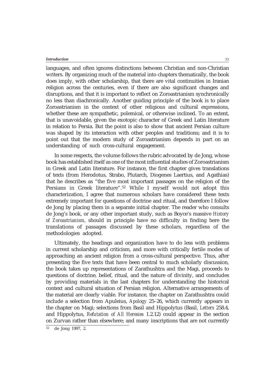languages, and often ignores distinctions between Christian and non-Christian writers. By organizing much of the material into chapters thematically, the book does imply, with other scholarship, that there are vital continuities in Iranian religion across the centuries, even if there are also significant changes and disruptions, and that it is important to reflect on Zoroastrianism synchronically no less than diachronically. Another guiding principle of the book is to place Zoroastrianism in the context of other religious and cultural expressions, whether these are sympathetic, polemical, or otherwise inclined. To an extent, that is unavoidable, given the exotopic character of Greek and Latin literature in relation to Persia. But the point is also to show that ancient Persian culture was shaped by its interaction with other peoples and traditions; and it is to point out that the modern study of Zoroastrianism depends in part on an understanding of such cross-cultural engagement.

In some respects, the volume follows the rubric advocated by de Jong, whose book has established itself as one of the most influential studies of Zoroastrianism in Greek and Latin literature. For instance, the first chapter gives translations of texts (from Herodotus, Strabo, Plutarch, Diogenes Laertius, and Agathias) that he describes as "the five most important passages on the religion of the Persians in Greek literature".52 While I myself would not adopt this characterization, I agree that numerous scholars have considered these texts extremely important for questions of doctrine and ritual, and therefore I follow de Jong by placing them in a separate initial chapter. The reader who consults de Jong's book, or any other important study, such as Boyce's massive *History of Zoroastrianism*, should in principle have no difficulty in finding here the translations of passages discussed by these scholars, regardless of the methodologies adopted.

Ultimately, the headings and organization have to do less with problems in current scholarship and criticism, and more with critically fertile modes of approaching an ancient religion from a cross-cultural perspective. Thus, after presenting the five texts that have been central to much scholarly discussion, the book takes up representations of Zarathushtra and the Magi, proceeds to questions of doctrine, belief, ritual, and the nature of divinity, and concludes by providing materials in the last chapters for understanding the historical context and cultural situation of Persian religion. Alternative arrangements of the material are clearly viable. For instance, the chapter on Zarathushtra could include a selection from Apuleius, *Apology* 25–26, which currently appears in the chapter on Magi; selections from Basil and Hippolytus (Basil, *Letters* 258.4, and Hippolytus, *Refutation of All Heresies* 1.2.12) could appear in the section on Zurvan rather than elsewhere; and many inscriptions that are not currently

33

<sup>52</sup> de Jong 1997, 2.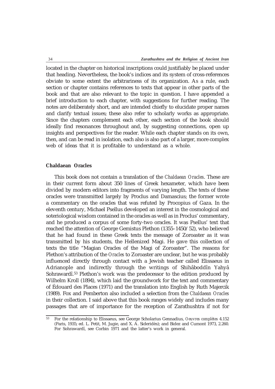located in the chapter on historical inscriptions could justifiably be placed under that heading. Nevertheless, the book's indices and its system of cross-references obviate to some extent the arbitrariness of its organization. As a rule, each section or chapter contains references to texts that appear in other parts of the book and that are also relevant to the topic in question. I have appended a brief introduction to each chapter, with suggestions for further reading. The notes are deliberately short, and are intended chiefly to elucidate proper names and clarify textual issues; these also refer to scholarly works as appropriate. Since the chapters complement each other, each section of the book should ideally find resonances throughout and, by suggesting connections, open up insights and perspectives for the reader. While each chapter stands on its own, then, and can be read in isolation, each also is also part of a larger, more complex web of ideas that it is profitable to understand as a whole.

# **Chaldaean Oracles**

This book does not contain a translation of the *Chaldaean Oracles*. These are in their current form about 350 lines of Greek hexameter, which have been divided by modern editors into fragments of varying length. The texts of these oracles were transmitted largely by Proclus and Damascius; the former wrote a commentary on the oracles that was refuted by Procopius of Gaza. In the eleventh century, Michael Psellus developed an interest in the cosmological and soteriological wisdom contained in the oracles as well as in Proclus' commentary, and he produced a corpus of some forty-two oracles. It was Psellus' text that reached the attention of George Gemistus Plethon (1355–1450/52), who believed that he had found in these Greek texts the message of Zoroaster as it was transmitted by his students, the Hellenized Magi. He gave this collection of texts the title "Magian Oracles of the Magi of Zoroaster". The reasons for Plethon's attribution of the *Oracles* to Zoroaster are unclear, but he was probably influenced directly through contact with a Jewish teacher called Elissaeus in Adrianople and indirectly through the writings of Shihâboddîn Yahyâ Sohrawardî.53 Plethon's work was the predecessor to the edition produced by Wilhelm Kroll (1894), which laid the groundwork for the text and commentary of Édouard des Places (1971) and the translation into English by Ruth Majercik (1989). Fox and Pemberton also included a selection from the *Chaldaean Oracles* in their collection. I said above that this book ranges widely and includes many passages that are of importance for the reception of Zarathushtra if not for

<sup>53</sup> For the relationship to Elissaeus, see George Scholarius Gennadius, *Oeuvres complètes* 4.152 (Paris, 1935; ed. L. Petit, M. Jugie, and X. A. Sideridès); and Bidez and Cumont 1973, 2.260. For Sohrawardî, see Corbin 1971 and the latter's work in general.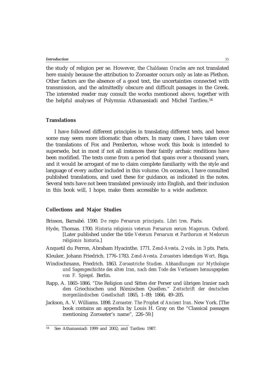the study of religion per se. However, the *Chaldaean Oracles* are not translated here mainly because the attribution to Zoroaster occurs only as late as Plethon. Other factors are the absence of a good text, the uncertainties connected with transmission, and the admittedly obscure and difficult passages in the Greek. The interested reader may consult the works mentioned above, together with the helpful analyses of Polymnia Athanassiadi and Michel Tardieu.<sup>54</sup>

# **Translations**

I have followed different principles in translating different texts, and hence some may seem more idiomatic than others. In many cases, I have taken over the translations of Fox and Pemberton, whose work this book is intended to supersede, but in most if not all instances their faintly archaic renditions have been modified. The texts come from a period that spans over a thousand years, and it would be arrogant of me to claim complete familiarity with the style and language of every author included in this volume. On occasion, I have consulted published translations, and used these for guidance, as indicated in the notes. Several texts have not been translated previously into English, and their inclusion in this book will, I hope, make them accessible to a wide audience.

# **Collections and Major Studies**

Brisson, Barnabé. 1590. *De regio Persarum principatu. Libri tres*. Paris.

- Hyde, Thomas. 1700. *Historia religionis veterum Persarum eorum Magorum*. Oxford. [Later published under the title *Veterum Persarum et Parthorum et Medorum religionis historia*.]
- Anquetil du Perron, Abraham Hyacinthe. 1771. *Zend-Avesta*. 2 vols. in 3 pts. Paris.
- Kleuker, Johann Friedrich. 1776–1783. *Zend-Avesta. Zoroasters lebendiges Wort*. Riga.
- Windischmann, Friedrich. 1863. *Zoroastriche Studien. Abhandlungen zur Mythologie und Sagengeschichte des alten Iran, nach dem Tode des Verfassers herausgegeben von F. Spiegel*. Berlin.
- Rapp, A. 1865–1866. "Die Religion und Sitten der Perser und übrigen Iranier nach den Griechischen und Römischen Quellen." *Zeitschrift der deutschen morgenländischen Gesellschaft* 1865, 1–89; 1866, 49–205.
- Jackson, A. V. Williams. 1898. *Zoroaster. The Prophet of Ancient Iran*. New York. [The book contains an appendix by Louis H. Gray on the "Classical passages mentioning Zoroaster's name", 226–59.]

<sup>54</sup> See Athanassiadi 1999 and 2002; and Tardieu 1987.